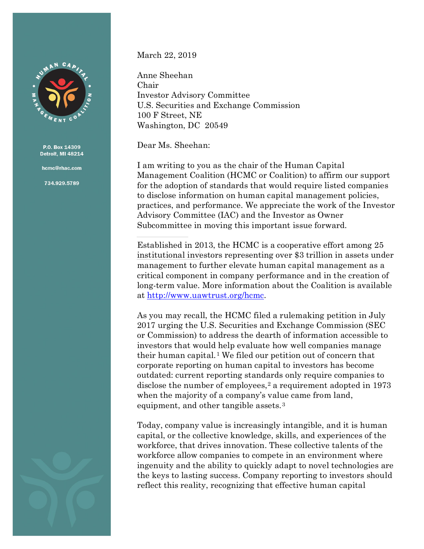

hcmc@rhac.com

734.929.5789

March 22, 2019

Anne Sheehan Chair Investor Advisory Committee U.S. Securities and Exchange Commission 100 F Street, NE Washington, DC 20549

Dear Ms. Sheehan:

I am writing to you as the chair of the Human Capital Management Coalition (HCMC or Coalition) to affirm our support for the adoption of standards that would require listed companies to disclose information on human capital management policies, practices, and performance. We appreciate the work of the Investor Advisory Committee (IAC) and the Investor as Owner Subcommittee in moving this important issue forward.

Established in 2013, the HCMC is a cooperative effort among 25 institutional investors representing over \$3 trillion in assets under management to further elevate human capital management as a critical component in company performance and in the creation of long-term value. More information about the Coalition is available at [http://www.uawtrust.org/hcmc.](http://www.uawtrust.org/hcmc)

As you may recall, the HCMC filed a rulemaking petition in July 2017 urging the U.S. Securities and Exchange Commission (SEC or Commission) to address the dearth of information accessible to investors that would help evaluate how well companies manage their human capital.[1](#page-8-0) We filed our petition out of concern that corporate reporting on human capital to investors has become outdated: current reporting standards only require companies to disclose the number of employees,<sup>[2](#page-8-1)</sup> a requirement adopted in 1973 when the majority of a company's value came from land, equipment, and other tangible assets.<sup>[3](#page-8-2)</sup>

Today, company value is increasingly intangible, and it is human capital, or the collective knowledge, skills, and experiences of the workforce, that drives innovation. These collective talents of the workforce allow companies to compete in an environment where ingenuity and the ability to quickly adapt to novel technologies are the keys to lasting success. Company reporting to investors should reflect this reality, recognizing that effective human capital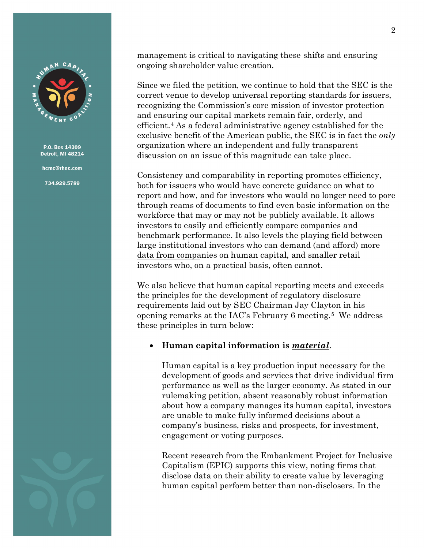

hcmc@rhac.com

734.929.5789

management is critical to navigating these shifts and ensuring ongoing shareholder value creation.

Since we filed the petition, we continue to hold that the SEC is the correct venue to develop universal reporting standards for issuers, recognizing the Commission's core mission of investor protection and ensuring our capital markets remain fair, orderly, and efficient.[4](#page-8-3) As a federal administrative agency established for the exclusive benefit of the American public, the SEC is in fact the *only* organization where an independent and fully transparent discussion on an issue of this magnitude can take place.

Consistency and comparability in reporting promotes efficiency, both for issuers who would have concrete guidance on what to report and how, and for investors who would no longer need to pore through reams of documents to find even basic information on the workforce that may or may not be publicly available. It allows investors to easily and efficiently compare companies and benchmark performance. It also levels the playing field between large institutional investors who can demand (and afford) more data from companies on human capital, and smaller retail investors who, on a practical basis, often cannot.

We also believe that human capital reporting meets and exceeds the principles for the development of regulatory disclosure requirements laid out by SEC Chairman Jay Clayton in his opening remarks at the IAC's February 6 meeting.[5](#page-8-4) We address these principles in turn below:

### • **Human capital information is** *material*.

Human capital is a key production input necessary for the development of goods and services that drive individual firm performance as well as the larger economy. As stated in our rulemaking petition, absent reasonably robust information about how a company manages its human capital, investors are unable to make fully informed decisions about a company's business, risks and prospects, for investment, engagement or voting purposes.

Recent research from the Embankment Project for Inclusive Capitalism (EPIC) supports this view, noting firms that disclose data on their ability to create value by leveraging human capital perform better than non-disclosers. In the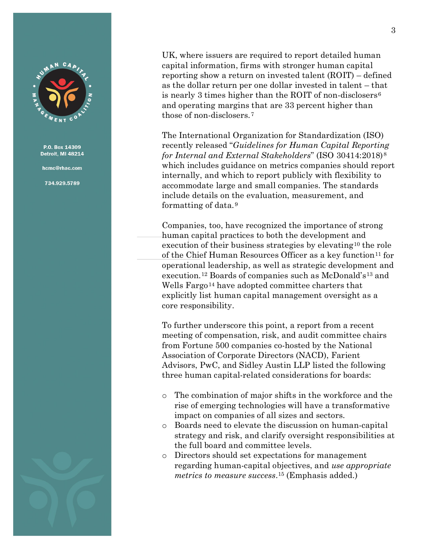

hcmc@rhac.com

734.929.5789



UK, where issuers are required to report detailed human capital information, firms with stronger human capital reporting show a return on invested talent (ROIT) – defined as the dollar return per one dollar invested in talent – that is nearly 3 times higher than the ROIT of non-disclosers[6](#page-8-5) and operating margins that are 33 percent higher than those of non-disclosers.[7](#page-8-6)

The International Organization for Standardization (ISO) recently released "*Guidelines for Human Capital Reporting for Internal and External Stakeholders*" (ISO 30414:2018)[8](#page-8-7) which includes guidance on metrics companies should report internally, and which to report publicly with flexibility to accommodate large and small companies. The standards include details on the evaluation, measurement, and formatting of data.[9](#page-8-8)

Companies, too, have recognized the importance of strong human capital practices to both the development and execution of their business strategies by elevating<sup>[10](#page-8-9)</sup> the role of the Chief Human Resources Officer as a key function<sup>[11](#page-8-10)</sup> for operational leadership, as well as strategic development and execution.[12](#page-8-11) Boards of companies such as McDonald's[13](#page-8-12) and Wells Fargo<sup>[14](#page-8-13)</sup> have adopted committee charters that explicitly list human capital management oversight as a core responsibility.

To further underscore this point, a report from a recent meeting of compensation, risk, and audit committee chairs from Fortune 500 companies co-hosted by the National Association of Corporate Directors (NACD), Farient Advisors, PwC, and Sidley Austin LLP listed the following three human capital-related considerations for boards:

- o The combination of major shifts in the workforce and the rise of emerging technologies will have a transformative impact on companies of all sizes and sectors.
- o Boards need to elevate the discussion on human-capital strategy and risk, and clarify oversight responsibilities at the full board and committee levels.
- o Directors should set expectations for management regarding human-capital objectives, and *use appropriate metrics to measure success*.[15](#page-8-14) (Emphasis added.)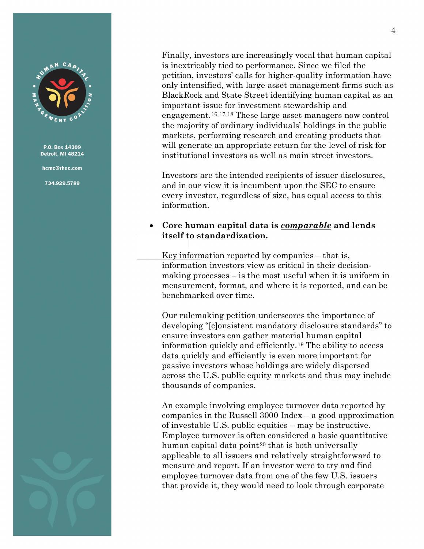

hcmc@rhac.com

734.929.5789

Finally, investors are increasingly vocal that human capital is inextricably tied to performance. Since we filed the petition, investors' calls for higher-quality information have only intensified, with large asset management firms such as BlackRock and State Street identifying human capital as an important issue for investment stewardship and engagement.[16,](#page-8-15)[17](#page-8-16),[18](#page-8-17) These large asset managers now control the majority of ordinary individuals' holdings in the public markets, performing research and creating products that will generate an appropriate return for the level of risk for institutional investors as well as main street investors.

Investors are the intended recipients of issuer disclosures, and in our view it is incumbent upon the SEC to ensure every investor, regardless of size, has equal access to this information.

## • **Core human capital data is** *comparable* **and lends itself to standardization.**

Key information reported by companies – that is, information investors view as critical in their decisionmaking processes – is the most useful when it is uniform in measurement, format, and where it is reported, and can be benchmarked over time.

Our rulemaking petition underscores the importance of developing "[c]onsistent mandatory disclosure standards" to ensure investors can gather material human capital information quickly and efficiently.[19](#page-8-18) The ability to access data quickly and efficiently is even more important for passive investors whose holdings are widely dispersed across the U.S. public equity markets and thus may include thousands of companies.

An example involving employee turnover data reported by companies in the Russell 3000 Index – a good approximation of investable U.S. public equities – may be instructive. Employee turnover is often considered a basic quantitative human capital data point<sup>[20](#page-8-19)</sup> that is both universally applicable to all issuers and relatively straightforward to measure and report. If an investor were to try and find employee turnover data from one of the few U.S. issuers that provide it, they would need to look through corporate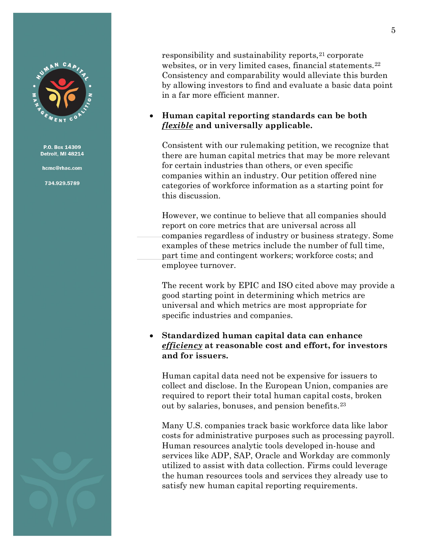

hcmc@rhac.com

734.929.5789

responsibility and sustainability reports, <sup>[21](#page-8-20)</sup> corporate websites, or in very limited cases, financial statements.<sup>[22](#page-8-21)</sup> Consistency and comparability would alleviate this burden by allowing investors to find and evaluate a basic data point in a far more efficient manner.

# • **Human capital reporting standards can be both**  *flexible* **and universally applicable.**

Consistent with our rulemaking petition, we recognize that there are human capital metrics that may be more relevant for certain industries than others, or even specific companies within an industry. Our petition offered nine categories of workforce information as a starting point for this discussion.

However, we continue to believe that all companies should report on core metrics that are universal across all companies regardless of industry or business strategy. Some examples of these metrics include the number of full time, part time and contingent workers; workforce costs; and employee turnover.

The recent work by EPIC and ISO cited above may provide a good starting point in determining which metrics are universal and which metrics are most appropriate for specific industries and companies.

## • **Standardized human capital data can enhance**  *efficiency* **at reasonable cost and effort, for investors and for issuers.**

Human capital data need not be expensive for issuers to collect and disclose. In the European Union, companies are required to report their total human capital costs, broken out by salaries, bonuses, and pension benefits.[23](#page-8-22)

Many U.S. companies track basic workforce data like labor costs for administrative purposes such as processing payroll. Human resources analytic tools developed in-house and services like ADP, SAP, Oracle and Workday are commonly utilized to assist with data collection. Firms could leverage the human resources tools and services they already use to satisfy new human capital reporting requirements.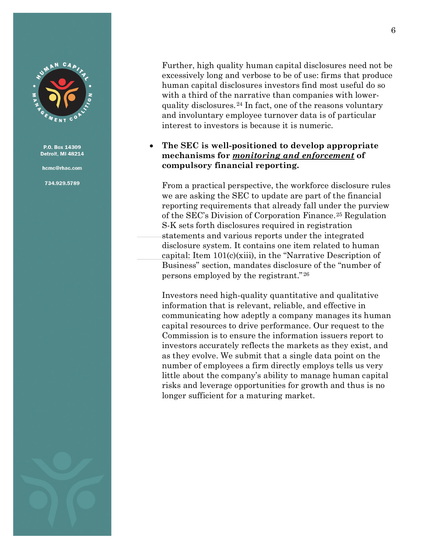

hcmc@rhac.com

734.929.5789

Further, high quality human capital disclosures need not be excessively long and verbose to be of use: firms that produce human capital disclosures investors find most useful do so with a third of the narrative than companies with lowerquality disclosures.[24](#page-8-23) In fact, one of the reasons voluntary and involuntary employee turnover data is of particular interest to investors is because it is numeric.

# • **The SEC is well-positioned to develop appropriate mechanisms for** *monitoring and enforcement* **of compulsory financial reporting.**

From a practical perspective, the workforce disclosure rules we are asking the SEC to update are part of the financial reporting requirements that already fall under the purview of the SEC's Division of Corporation Finance.[25](#page-8-24) Regulation S-K sets forth disclosures required in registration statements and various reports under the integrated disclosure system. It contains one item related to human capital: Item 101(c)(xiii), in the "Narrative Description of Business" section, mandates disclosure of the "number of persons employed by the registrant." [26](#page-8-25)

Investors need high-quality quantitative and qualitative information that is relevant, reliable, and effective in communicating how adeptly a company manages its human capital resources to drive performance. Our request to the Commission is to ensure the information issuers report to investors accurately reflects the markets as they exist, and as they evolve. We submit that a single data point on the number of employees a firm directly employs tells us very little about the company's ability to manage human capital risks and leverage opportunities for growth and thus is no longer sufficient for a maturing market.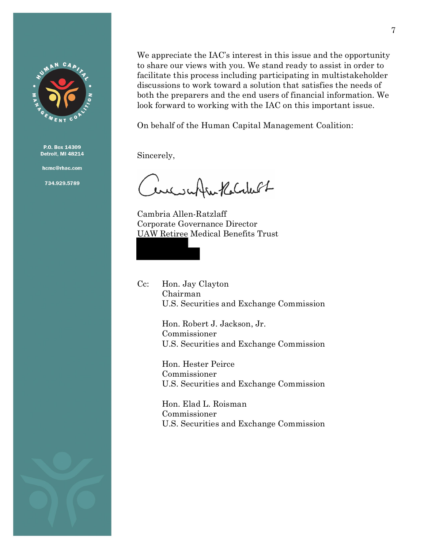

hcmc@rhac.com

734.929.5789

We appreciate the IAC's interest in this issue and the opportunity to share our views with you. We stand ready to assist in order to facilitate this process including participating in multistakeholder discussions to work toward a solution that satisfies the needs of both the preparers and the end users of financial information. We look forward to working with the IAC on this important issue.

On behalf of the Human Capital Management Coalition:

Sincerely,

Cerciscoffee Kolakult

Cambria Allen-Ratzlaff Corporate Governance Director UAW Retiree Medical Benefits Trust

Cc: Hon. Jay Clayton Chairman U.S. Securities and Exchange Commission

> Hon. Robert J. Jackson, Jr. Commissioner U.S. Securities and Exchange Commission

> Hon. Hester Peirce Commissioner U.S. Securities and Exchange Commission

> Hon. Elad L. Roisman Commissioner U.S. Securities and Exchange Commission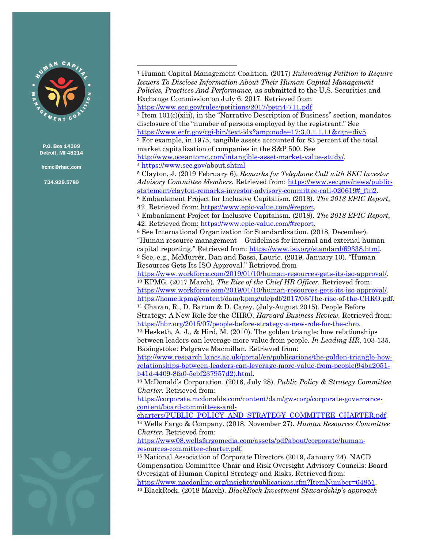

hcmc@rhac.com

734.929.5789

<sup>1</sup> Human Capital Management Coalition. (2017) *Rulemaking Petition to Require Issuers To Disclose Information About Their Human Capital Management Policies, Practices And Performance,* as submitted to the U.S. Securities and Exchange Commission on July 6, 2017*.* Retrieved from <https://www.sec.gov/rules/petitions/2017/petn4-711.pdf> <sup>2</sup> Item  $101(c)(xiii)$ , in the "Narrative Description of Business" section, mandates disclosure of the "number of persons employed by the registrant." See [https://www.ecfr.gov/cgi-bin/text-idx?amp;node=17:3.0.1.1.11&rgn=div5.](https://www.ecfr.gov/cgi-bin/text-idx?amp;node=17:3.0.1.1.11&rgn=div5) <sup>3</sup> For example, in 1975, tangible assets accounted for 83 percent of the total market capitalization of companies in the S&P 500. See [http://www.oceantomo.com/intangible-asset-market-value-study/.](http://www.oceantomo.com/intangible-asset-market-value-study/) 4 <https://www.sec.gov/about.shtml> <sup>5</sup> Clayton, J. (2019 February 6). *Remarks for Telephone Call with SEC Investor Advisory Committee Members.* Retrieved from: [https://www.sec.gov/news/public](https://www.sec.gov/news/public-statement/clayton-remarks-investor-advisory-committee-call-020619#_ftn2)[statement/clayton-remarks-investor-advisory-committee-call-020619#\\_ftn2.](https://www.sec.gov/news/public-statement/clayton-remarks-investor-advisory-committee-call-020619#_ftn2) <sup>6</sup> Embankment Project for Inclusive Capitalism. (2018). *The 2018 EPIC Report,* 42. Retrieved from: [https://www.epic-value.com/#report.](https://www.epic-value.com/#report) <sup>7</sup> Embankment Project for Inclusive Capitalism. (2018). *The 2018 EPIC Report,* 42. Retrieved from: [https://www.epic-value.com/#report.](https://www.epic-value.com/#report) <sup>8</sup> See International Organization for Standardization. (2018, December). "Human resource management – Guidelines for internal and external human capital reporting." Retrieved from[: https://www.iso.org/standard/69338.html.](https://www.iso.org/standard/69338.html)<br><sup>9</sup> See, e.g., McMurrer, Dan and Bassi, Laurie. (2019, January 10). "Human Resources Gets Its ISO Approval." Retrieved from [https://www.workforce.com/2019/01/10/human-resources-gets-its-iso-approval/.](https://www.workforce.com/2019/01/10/human-resources-gets-its-iso-approval/) 10 KPMG. (2017 March). *The Rise of the Chief HR Officer.* Retrieved from: [https://www.workforce.com/2019/01/10/human-resources-gets-its-iso-approval/.](https://www.workforce.com/2019/01/10/human-resources-gets-its-iso-approval/) [https://home.kpmg/content/dam/kpmg/uk/pdf/2017/03/The-rise-of-the-CHRO.pdf.](https://home.kpmg/content/dam/kpmg/uk/pdf/2017/03/The-rise-of-the-CHRO.pdf)<br><sup>11</sup> Charan, R., D. Barton & D. Carey. (July-August 2015). People Before Strategy: A New Role for the CHRO. *Harvard Business Review.* Retrieved from: [https://hbr.org/2015/07/people-before-strategy-a-new-role-for-the-chro.](https://hbr.org/2015/07/people-before-strategy-a-new-role-for-the-chro)<br><sup>12</sup> [Hesketh, A. J.,](http://www.research.lancs.ac.uk/portal/en/people/anthony-hesketh(5ff60a97-11f8-42d5-9927-212bf3113c5f).html) & Hird, M. (2010). The golden triangle: how relationships between leaders can leverage more value from people. *In Leading HR*, 103-135. Basingstoke: Palgrave Macmillan. Retrieved from: [http://www.research.lancs.ac.uk/portal/en/publications/the-golden-triangle-how](http://www.research.lancs.ac.uk/portal/en/publications/the-golden-triangle-how-relationships-between-leaders-can-leverage-more-value-from-people(94ba2051-b41d-4409-8fa0-5ebf237957d2).html)[relationships-between-leaders-can-leverage-more-value-from-people\(94ba2051](http://www.research.lancs.ac.uk/portal/en/publications/the-golden-triangle-how-relationships-between-leaders-can-leverage-more-value-from-people(94ba2051-b41d-4409-8fa0-5ebf237957d2).html) [b41d-4409-8fa0-5ebf237957d2\).html.](http://www.research.lancs.ac.uk/portal/en/publications/the-golden-triangle-how-relationships-between-leaders-can-leverage-more-value-from-people(94ba2051-b41d-4409-8fa0-5ebf237957d2).html) 13 McDonald's Corporation. (2016, July 28). *Public Policy & Strategy Committee Charter.* Retrieved from: [https://corporate.mcdonalds.com/content/dam/gwscorp/corporate-governance](https://corporate.mcdonalds.com/content/dam/gwscorp/corporate-governance-content/board-committees-and-charters/PUBLIC_POLICY_AND_STRATEGY_COMMITTEE_CHARTER.pdf)[content/board-committees-and](https://corporate.mcdonalds.com/content/dam/gwscorp/corporate-governance-content/board-committees-and-charters/PUBLIC_POLICY_AND_STRATEGY_COMMITTEE_CHARTER.pdf)[charters/PUBLIC\\_POLICY\\_AND\\_STRATEGY\\_COMMITTEE\\_CHARTER.pdf.](https://corporate.mcdonalds.com/content/dam/gwscorp/corporate-governance-content/board-committees-and-charters/PUBLIC_POLICY_AND_STRATEGY_COMMITTEE_CHARTER.pdf) 14 Wells Fargo & Company. (2018, November 27). *Human Resources Committee Charter.* Retrieved from: [https://www08.wellsfargomedia.com/assets/pdf/about/corporate/human](https://www08.wellsfargomedia.com/assets/pdf/about/corporate/human-resources-committee-charter.pdf)[resources-committee-charter.pdf.](https://www08.wellsfargomedia.com/assets/pdf/about/corporate/human-resources-committee-charter.pdf) 15 National Association of Corporate Directors (2019, January 24). NACD Compensation Committee Chair and Risk Oversight Advisory Councils: Board Oversight of Human Capital Strategy and Risks. Retrieved from: [https://www.nacdonline.org/insights/publications.cfm?ItemNumber=64851.](https://www.nacdonline.org/insights/publications.cfm?ItemNumber=64851) 16 BlackRock. (2018 March). *BlackRock Investment Stewardship's approach* j